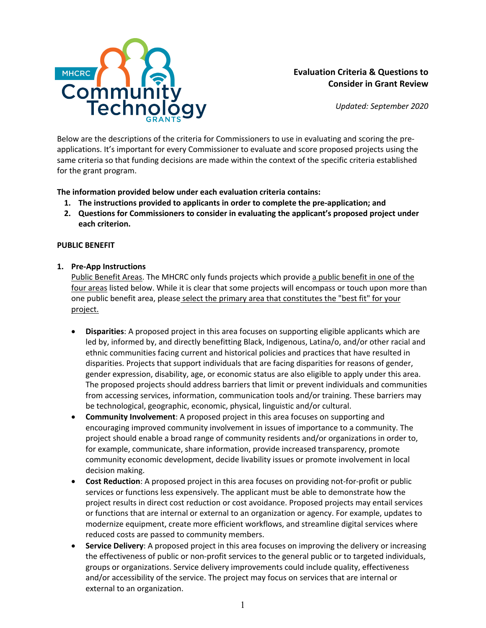

# **Evaluation Criteria & Questions to Consider in Grant Review**

*Updated: September 2020*

Below are the descriptions of the criteria for Commissioners to use in evaluating and scoring the preapplications. It's important for every Commissioner to evaluate and score proposed projects using the same criteria so that funding decisions are made within the context of the specific criteria established for the grant program.

**The information provided below under each evaluation criteria contains:**

- **1. The instructions provided to applicants in order to complete the pre-application; and**
- **2. Questions for Commissioners to consider in evaluating the applicant's proposed project under each criterion.**

#### **PUBLIC BENEFIT**

#### **1. Pre-App Instructions**

Public Benefit Areas. The MHCRC only funds projects which provide a public benefit in one of the four areas listed below. While it is clear that some projects will encompass or touch upon more than one public benefit area, please select the primary area that constitutes the "best fit" for your project.

- **Disparities**: A proposed project in this area focuses on supporting eligible applicants which are led by, informed by, and directly benefitting Black, Indigenous, Latina/o, and/or other racial and ethnic communities facing current and historical policies and practices that have resulted in disparities. Projects that support individuals that are facing disparities for reasons of gender, gender expression, disability, age, or economic status are also eligible to apply under this area. The proposed projects should address barriers that limit or prevent individuals and communities from accessing services, information, communication tools and/or training. These barriers may be technological, geographic, economic, physical, linguistic and/or cultural.
- **Community Involvement**: A proposed project in this area focuses on supporting and encouraging improved community involvement in issues of importance to a community. The project should enable a broad range of community residents and/or organizations in order to, for example, communicate, share information, provide increased transparency, promote community economic development, decide livability issues or promote involvement in local decision making.
- **Cost Reduction**: A proposed project in this area focuses on providing not-for-profit or public services or functions less expensively. The applicant must be able to demonstrate how the project results in direct cost reduction or cost avoidance. Proposed projects may entail services or functions that are internal or external to an organization or agency. For example, updates to modernize equipment, create more efficient workflows, and streamline digital services where reduced costs are passed to community members.
- **Service Delivery**: A proposed project in this area focuses on improving the delivery or increasing the effectiveness of public or non-profit services to the general public or to targeted individuals, groups or organizations. Service delivery improvements could include quality, effectiveness and/or accessibility of the service. The project may focus on services that are internal or external to an organization.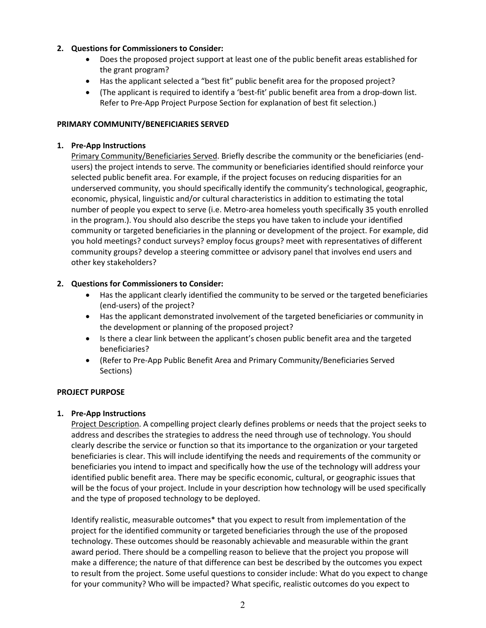# **2. Questions for Commissioners to Consider:**

- Does the proposed project support at least one of the public benefit areas established for the grant program?
- Has the applicant selected a "best fit" public benefit area for the proposed project?
- (The applicant is required to identify a 'best-fit' public benefit area from a drop-down list. Refer to Pre-App Project Purpose Section for explanation of best fit selection.)

## **PRIMARY COMMUNITY/BENEFICIARIES SERVED**

## **1. Pre-App Instructions**

Primary Community/Beneficiaries Served. Briefly describe the community or the beneficiaries (endusers) the project intends to serve. The community or beneficiaries identified should reinforce your selected public benefit area. For example, if the project focuses on reducing disparities for an underserved community, you should specifically identify the community's technological, geographic, economic, physical, linguistic and/or cultural characteristics in addition to estimating the total number of people you expect to serve (i.e. Metro-area homeless youth specifically 35 youth enrolled in the program.). You should also describe the steps you have taken to include your identified community or targeted beneficiaries in the planning or development of the project. For example, did you hold meetings? conduct surveys? employ focus groups? meet with representatives of different community groups? develop a steering committee or advisory panel that involves end users and other key stakeholders?

## **2. Questions for Commissioners to Consider:**

- Has the applicant clearly identified the community to be served or the targeted beneficiaries (end-users) of the project?
- Has the applicant demonstrated involvement of the targeted beneficiaries or community in the development or planning of the proposed project?
- Is there a clear link between the applicant's chosen public benefit area and the targeted beneficiaries?
- (Refer to Pre-App Public Benefit Area and Primary Community/Beneficiaries Served Sections)

#### **PROJECT PURPOSE**

#### **1. Pre-App Instructions**

Project Description. A compelling project clearly defines problems or needs that the project seeks to address and describes the strategies to address the need through use of technology. You should clearly describe the service or function so that its importance to the organization or your targeted beneficiaries is clear. This will include identifying the needs and requirements of the community or beneficiaries you intend to impact and specifically how the use of the technology will address your identified public benefit area. There may be specific economic, cultural, or geographic issues that will be the focus of your project. Include in your description how technology will be used specifically and the type of proposed technology to be deployed.

Identify realistic, measurable outcomes\* that you expect to result from implementation of the project for the identified community or targeted beneficiaries through the use of the proposed technology. These outcomes should be reasonably achievable and measurable within the grant award period. There should be a compelling reason to believe that the project you propose will make a difference; the nature of that difference can best be described by the outcomes you expect to result from the project. Some useful questions to consider include: What do you expect to change for your community? Who will be impacted? What specific, realistic outcomes do you expect to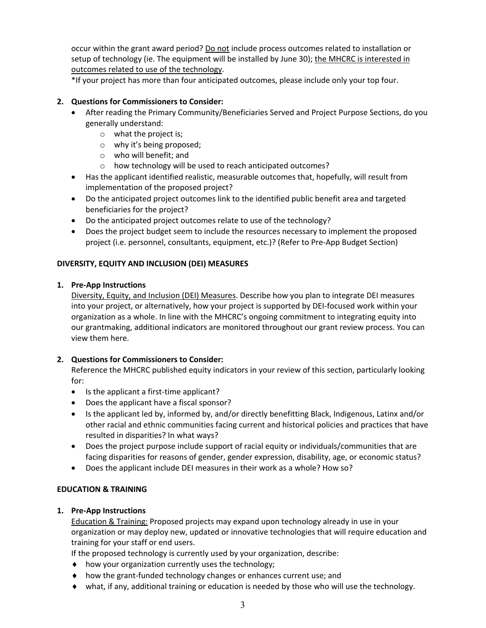occur within the grant award period? Do not include process outcomes related to installation or setup of technology (ie. The equipment will be installed by June 30); the MHCRC is interested in outcomes related to use of the technology.

\*If your project has more than four anticipated outcomes, please include only your top four.

# **2. Questions for Commissioners to Consider:**

- After reading the Primary Community/Beneficiaries Served and Project Purpose Sections, do you generally understand:
	- o what the project is;
	- o why it's being proposed;
	- o who will benefit; and
	- o how technology will be used to reach anticipated outcomes?
- Has the applicant identified realistic, measurable outcomes that, hopefully, will result from implementation of the proposed project?
- Do the anticipated project outcomes link to the identified public benefit area and targeted beneficiaries for the project?
- Do the anticipated project outcomes relate to use of the technology?
- Does the project budget seem to include the resources necessary to implement the proposed project (i.e. personnel, consultants, equipment, etc.)? (Refer to Pre-App Budget Section)

#### **DIVERSITY, EQUITY AND INCLUSION (DEI) MEASURES**

#### **1. Pre-App Instructions**

Diversity, Equity, and Inclusion (DEI) Measures. Describe how you plan to integrate DEI measures into your project, or alternatively, how your project is supported by DEI-focused work within your organization as a whole. In line with the MHCRC's ongoing commitment to integrating equity into our grantmaking, additional indicators are monitored throughout our grant review process. You can view them here.

#### **2. Questions for Commissioners to Consider:**

Reference the MHCRC published equity indicators in your review of this section, particularly looking for:

- Is the applicant a first-time applicant?
- Does the applicant have a fiscal sponsor?
- Is the applicant led by, informed by, and/or directly benefitting Black, Indigenous, Latinx and/or other racial and ethnic communities facing current and historical policies and practices that have resulted in disparities? In what ways?
- Does the project purpose include support of racial equity or individuals/communities that are facing disparities for reasons of gender, gender expression, disability, age, or economic status?
- Does the applicant include DEI measures in their work as a whole? How so?

#### **EDUCATION & TRAINING**

#### **1. Pre-App Instructions**

Education & Training: Proposed projects may expand upon technology already in use in your organization or may deploy new, updated or innovative technologies that will require education and training for your staff or end users.

If the proposed technology is currently used by your organization, describe:

- $\bullet$  how your organization currently uses the technology;
- $\bullet$  how the grant-funded technology changes or enhances current use; and
- $\bullet$  what, if any, additional training or education is needed by those who will use the technology.